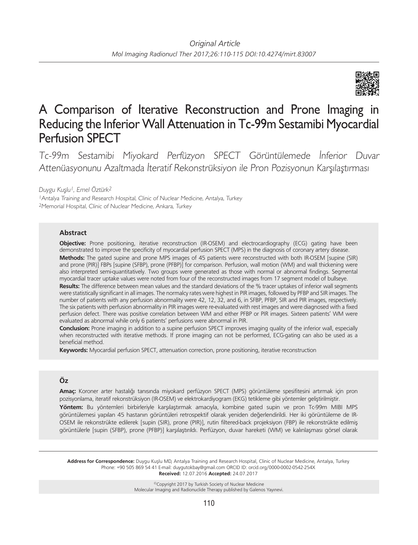

# A Comparison of Iterative Reconstruction and Prone Imaging in Reducing the Inferior Wall Attenuation in Tc-99m Sestamibi Myocardial Perfusion SPECT

Tc-99m Sestamibi Miyokard Perfüzyon SPECT Görüntülemede İnferior Duvar Attenüasyonunu Azaltmada İteratif Rekonstrüksiyon ile Pron Pozisyonun Karşılaştırması

*Duygu Kuşlu1, Emel Öztürk2*

<sup>1</sup>Antalya Training and Research Hospital, Clinic of Nuclear Medicine, Antalya, Turkey <sup>2</sup>Memorial Hospital, Clinic of Nuclear Medicine, Ankara, Turkey

# **Abstract**

**Objective:** Prone positioning, iterative reconstruction (IR-OSEM) and electrocardiography (ECG) gating have been demonstrated to improve the specificity of myocardial perfusion SPECT (MPS) in the diagnosis of coronary artery disease. **Methods:** The gated supine and prone MPS images of 45 patients were reconstructed with both IR-OSEM [supine (SIR) and prone (PIR)] FBPs [supine (SFBP), prone (PFBP)] for comparison. Perfusion, wall motion (WM) and wall thickening were also interpreted semi-quantitatively. Two groups were generated as those with normal or abnormal findings. Segmental myocardial tracer uptake values were noted from four of the reconstructed images from 17 segment model of bullseye.

**Results:** The difference between mean values and the standard deviations of the % tracer uptakes of inferior wall segments were statistically significant in all images. The normalcy rates were highest in PIR images, followed by PFBP and SIR images. The number of patients with any perfusion abnormality were 42, 12, 32, and 6, in SFBP, PFBP, SIR and PIR images, respectively. The six patients with perfusion abnormality in PIR images were re-evaluated with rest images and were diagnosed with a fixed perfusion defect. There was positive correlation between WM and either PFBP or PIR images. Sixteen patients' WM were evaluated as abnormal while only 6 patients' perfusions were abnormal in PIR.

**Conclusion:** Prone imaging in addition to a supine perfusion SPECT improves imaging quality of the inferior wall, especially when reconstructed with iterative methods. If prone imaging can not be performed, ECG-gating can also be used as a beneficial method.

**Keywords:** Myocardial perfusion SPECT, attenuation correction, prone positioning, iterative reconstruction

# **Öz**

**Amaç:** Koroner arter hastalığı tanısında miyokard perfüzyon SPECT (MPS) görüntüleme spesifitesini artırmak için pron pozisyonlama, iteratif rekonstrüksiyon (IR-OSEM) ve elektrokardiyogram (EKG) tetikleme gibi yöntemler geliştirilmiştir.

**Yöntem:** Bu yöntemleri birbirleriyle karşılaştırmak amacıyla, kombine gated supin ve pron Tc-99m MIBI MPS görüntülemesi yapılan 45 hastanın görüntüleri retrospektif olarak yeniden değerlendirildi. Her iki görüntüleme de IR-OSEM ile rekonstrükte edilerek [supin (SIR), prone (PIR)], rutin filtered-back projeksiyon (FBP) ile rekonstrükte edilmiş görüntülerle [supin (SFBP), prone (PFBP)] karşılaştırıldı. Perfüzyon, duvar hareketi (WM) ve kalınlaşması görsel olarak

**Address for Correspondence:** Duygu Kuşlu MD, Antalya Training and Research Hospital, Clinic of Nuclear Medicine, Antalya, Turkey Phone: +90 505 869 54 41 E-mail: duygutokbay@gmail.com ORCID ID: orcid.org/0000-0002-0542-254X **Received:** 12.07.2016 **Accepted:** 24.07.2017

> ©Copyright 2017 by Turkish Society of Nuclear Medicine Molecular Imaging and Radionuclide Therapy published by Galenos Yayınevi.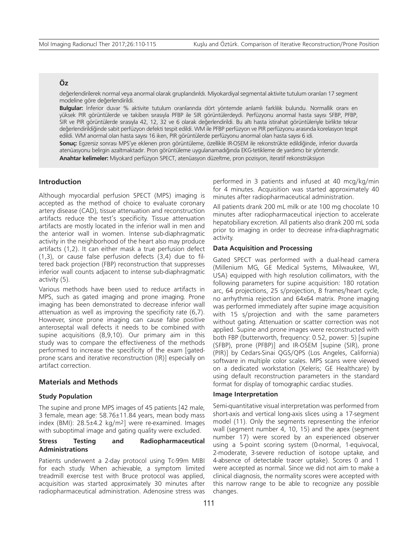# **Öz**

değerlendirilerek normal veya anormal olarak gruplandırıldı. Miyokardiyal segmental aktivite tutulum oranları 17 segment modeline göre değerlendirildi.

**Bulgular:** İnferior duvar % aktivite tutulum oranlarında dört yöntemde anlamlı farklılık bulundu. Normallik oranı en yüksek PIR görüntülerde ve takiben sırasıyla PFBP ile SIR görüntülerdeydi. Perfüzyonu anormal hasta sayısı SFBP, PFBP, SIR ve PIR görüntülerde sırasıyla 42, 12, 32 ve 6 olarak değerlendirildi. Bu altı hasta istirahat görüntüleriyle birlikte tekrar değerlendirildiğinde sabit perfüzyon defekti tespit edildi. WM ile PFBP perfüzyon ve PIR perfüzyonu arasında korelasyon tespit edildi. WM anormal olan hasta sayısı 16 iken, PIR görüntülerde perfüzyonu anormal olan hasta sayısı 6 idi.

**Sonuç:** Egzersiz sonrası MPS'ye eklenen pron görüntüleme, özellikle IR-OSEM ile rekonstrükte edildiğinde, inferior duvarda atenüasyonu belirgin azaltmaktadır. Pron görüntüleme uygulanamadığında EKG-tetikleme de yardımcı bir yöntemdir.

**Anahtar kelimeler:** Miyokard perfüzyon SPECT, atenüasyon düzeltme, pron pozisyon, iteratif rekonstrüksiyon

# **Introduction**

Although myocardial perfusion SPECT (MPS) imaging is accepted as the method of choice to evaluate coronary artery disease (CAD), tissue attenuation and reconstruction artifacts reduce the test's specificity. Tissue attenuation artifacts are mostly located in the inferior wall in men and the anterior wall in women. Intense sub-diaphragmatic activity in the neighborhood of the heart also may produce artifacts (1,2). It can either mask a true perfusion defect (1,3), or cause false perfusion defects (3,4) due to filtered back projection (FBP) reconstruction that suppresses inferior wall counts adjacent to intense sub-diaphragmatic activity (5).

Various methods have been used to reduce artifacts in MPS, such as gated imaging and prone imaging. Prone imaging has been demonstrated to decrease inferior wall attenuation as well as improving the specificity rate (6,7). However, since prone imaging can cause false positive anteroseptal wall defects it needs to be combined with supine acquisitions (8,9,10). Our primary aim in this study was to compare the effectiveness of the methods performed to increase the specificity of the exam [gatedprone scans and iterative reconstruction (IR)] especially on artifact correction.

### **Materials and Methods**

#### **Study Population**

The supine and prone MPS images of 45 patients [42 male, 3 female, mean age: 58.76±11.84 years, mean body mass index (BMI): 28.5±4.2 kg/m2] were re-examined. Images with suboptimal image and gating quality were excluded.

# **Stress Testing and Radiopharmaceutical Administrations**

Patients underwent a 2-day protocol using Tc-99m MIBI for each study. When achievable, a symptom limited treadmill exercise test with Bruce protocol was applied, acquisition was started approximately 30 minutes after radiopharmaceutical administration. Adenosine stress was performed in 3 patients and infused at 40 mcg/kg/min for 4 minutes. Acquisition was started approximately 40 minutes after radiopharmaceutical administration.

All patients drank 200 mL milk or ate 100 mg chocolate 10 minutes after radiopharmaceutical injection to accelerate hepatobiliary excretion. All patients also drank 200 mL soda prior to imaging in order to decrease infra-diaphragmatic activity.

#### **Data Acquisition and Processing**

Gated SPECT was performed with a dual-head camera (Millenium MG, GE Medical Systems, Milwaukee, WI, USA) equipped with high resolution collimators, with the following parameters for supine acquisition: 180 rotation arc, 64 projections, 25 s/projection, 8 frames/heart cycle, no arrhythmia rejection and 64x64 matrix. Prone imaging was performed immediately after supine image acquisition with 15 s/projection and with the same parameters without gating. Attenuation or scatter correction was not applied. Supine and prone images were reconstructed with both FBP (butterworth, frequency: 0.52, power: 5) [supine (SFBP), prone (PFBP)] and IR-OSEM [supine (SIR), prone (PIR)] by Cedars-Sinai QGS/QPS (Los Angeles, California) software in multiple color scales. MPS scans were viewed on a dedicated workstation (Xeleris; GE Healthcare) by using default reconstruction parameters in the standard format for display of tomographic cardiac studies.

#### **Image Interpretation**

Semi-quantitative visual interpretation was performed from short-axis and vertical long-axis slices using a 17-segment model (11). Only the segments representing the inferior wall (segment number 4, 10, 15) and the apex (segment number 17) were scored by an experienced observer using a 5-point scoring system (0-normal, 1-equivocal, 2-moderate, 3-severe reduction of isotope uptake, and 4-absence of detectable tracer uptake). Scores 0 and 1 were accepted as normal. Since we did not aim to make a clinical diagnosis, the normality scores were accepted with this narrow range to be able to recognize any possible changes.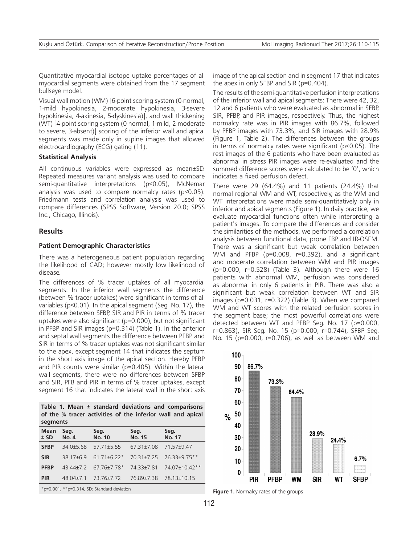Quantitative myocardial isotope uptake percentages of all myocardial segments were obtained from the 17 segment bullseye model.

Visual wall motion (WM) [6-point scoring system (0-normal, 1-mild hypokinesia, 2-moderate hypokinesia, 3-severe hypokinesia, 4-akinesia, 5-dyskinesia)], and wall thickening (WT) [4-point scoring system (0-normal, 1-mild, 2-moderate to severe, 3-absent)] scoring of the inferior wall and apical segments was made only in supine images that allowed electrocardiography (ECG) gating (11).

## **Statistical Analysis**

All continuous variables were expressed as mean±SD. Repeated measures variant analysis was used to compare semi-quantitative interpretations (p<0.05), McNemar analysis was used to compare normalcy rates (p<0.05). Friedmann tests and correlation analysis was used to compare differences (SPSS Software, Version 20.0; SPSS Inc., Chicago, Illinois).

# **Results**

#### **Patient Demographic Characteristics**

There was a heterogeneous patient population regarding the likelihood of CAD; however mostly low likelihood of disease.

The differences of % tracer uptakes of all myocardial segments: In the inferior wall segments the difference (between % tracer uptakes) were significant in terms of all variables (p<0.01). In the apical segment (Seg. No. 17), the difference between SFBP, SIR and PIR in terms of % tracer uptakes were also significant (p=0.000), but not significant in PFBP and SIR images (p=0.314) (Table 1). In the anterior and septal wall segments the difference between PFBP and SIR in terms of % tracer uptakes was not significant similar to the apex, except segment 14 that indicates the septum in the short axis image of the apical section. Hereby PFBP and PIR counts were similar (p=0.405). Within the lateral wall segments, there were no differences between SFBP and SIR, PFB and PIR in terms of % tracer uptakes, except segment 16 that indicates the lateral wall in the short axis

**Table 1. Mean ± standard deviations and comparisons of the % tracer activities of the inferior wall and apical segments**

| <b>Mean</b><br>$±$ SD | Seg.<br><b>No. 4</b> | Seg.<br><b>No. 10</b> | Seg.<br><b>No. 15</b> | Seg.<br><b>No. 17</b> |
|-----------------------|----------------------|-----------------------|-----------------------|-----------------------|
| <b>SFBP</b>           | $34.0 \pm 5.68$      | $5771+555$            | 67 31 + 7 08          | 71 57 + 947           |
| <b>SIR</b>            | $3817 + 69$          | $6171+677*$           | $70.31 + 7.25$        | 76 33+9 75**          |
| <b>PFBP</b>           |                      | 43.44±7.2 67.76±7.78* | 74 33+7 81            | 74 07+10 42**         |
| <b>PIR</b>            | $48.04 \pm 7.1$      | 73.76±7.72            | 76.89±7.38            | 78.13±10.15           |

\*p=0.001, \*\*p=0.314, SD: Standard deviation

image of the apical section and in segment 17 that indicates the apex in only SFBP and SIR (p=0.404).

The results of the semi-quantitative perfusion interpretations of the inferior wall and apical segments: There were 42, 32, 12 and 6 patients who were evaluated as abnormal in SFBP, SIR, PFBP, and PIR images, respectively. Thus, the highest normalcy rate was in PIR images with 86.7%, followed by PFBP images with 73.3%, and SIR images with 28.9% (Figure 1, Table 2). The differences between the groups in terms of normalcy rates were significant (p<0.05). The rest images of the 6 patients who have been evaluated as abnormal in stress PIR images were re-evaluated and the summed difference scores were calculated to be '0', which indicates a fixed perfusion defect.

There were 29 (64.4%) and 11 patients (24.4%) that normal regional WM and WT, respectively, as the WM and WT interpretations were made semi-quantitatively only in inferior and apical segments (Figure 1). In daily practice, we evaluate myocardial functions often while interpreting a patient's images. To compare the differences and consider the similarities of the methods, we performed a correlation analysis between functional data, prone FBP and IR-OSEM. There was a significant but weak correlation between WM and PFBP (p=0.008, r=0.392), and a significant and moderate correlation between WM and PIR images (p=0.000, r=0.528) (Table 3). Although there were 16 patients with abnormal WM, perfusion was considered as abnormal in only 6 patients in PIR. There was also a significant but weak correlation between WT and SIR images (p=0.031, r=0.322) (Table 3). When we compared WM and WT scores with the related perfusion scores in the segment base; the most powerful correlations were detected between WT and PFBP Seg. No. 17 (p=0.000, r=0.863), SIR Seg. No. 15 (p=0.000, r=0.744), SFBP Seg. No. 15 (p=0.000, r=0.706), as well as between WM and



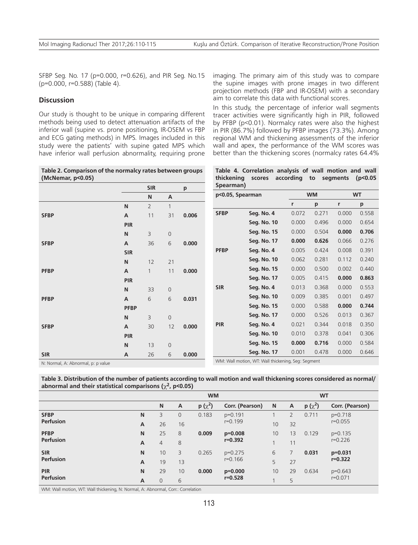SFBP Seg. No. 17 (p=0.000, r=0.626), and PIR Seg. No.15 (p=0.000, r=0.588) (Table 4).

# **Discussion**

Our study is thought to be unique in comparing different methods being used to detect attenuation artifacts of the inferior wall (supine vs. prone positioning, IR-OSEM vs FBP and ECG gating methods) in MPS. Images included in this study were the patients' with supine gated MPS which have inferior wall perfusion abnormality, requiring prone

**Table 2. Comparison of the normalcy rates between groups (McNemar, p<0.05)**

|             |             | <b>SIR</b>     |             | р     |
|-------------|-------------|----------------|-------------|-------|
|             |             | N              | A           |       |
|             | N           | $\overline{2}$ | 1           |       |
| <b>SFBP</b> | A           | 11             | 31          | 0.006 |
|             | PIR         |                |             |       |
|             | N           | 3              | $\mathbf 0$ |       |
| <b>SFBP</b> | A           | 36             | 6           | 0.000 |
|             | <b>SIR</b>  |                |             |       |
|             | N           | 12             | 21          |       |
| <b>PFBP</b> | A           | $\mathbf{1}$   | 11          | 0.000 |
|             | PIR         |                |             |       |
|             | N           | 33             | $\mathbf 0$ |       |
| <b>PFBP</b> | A           | 6              | 6           | 0.031 |
|             | <b>PFBP</b> |                |             |       |
|             | N           | 3              | $\mathbf 0$ |       |
| <b>SFBP</b> | A           | 30             | 12          | 0.000 |
|             | <b>PIR</b>  |                |             |       |
|             | N           | 13             | $\mathbf 0$ |       |
| <b>SIR</b>  | A           | 26             | 6           | 0.000 |

imaging. The primary aim of this study was to compare the supine images with prone images in two different projection methods (FBP and IR-OSEM) with a secondary aim to correlate this data with functional scores.

In this study, the percentage of inferior wall segments tracer activities were significantly high in PIR, followed by PFBP (p<0.01). Normalcy rates were also the highest in PIR (86.7%) followed by PFBP images (73.3%). Among regional WM and thickening assessments of the inferior wall and apex, the performance of the WM scores was better than the thickening scores (normalcy rates 64.4%

**Table 4. Correlation analysis of wall motion and wall thickening scores according to segments (p<0.05 Spearman)**

| p<0.05, Spearman                                   |             |       | <b>WM</b> | <b>WT</b> |       |  |
|----------------------------------------------------|-------------|-------|-----------|-----------|-------|--|
|                                                    |             | r     | p         | r         | p     |  |
| <b>SFBP</b>                                        | Seg. No. 4  | 0.072 | 0.271     | 0.000     | 0.558 |  |
|                                                    | Seg. No. 10 | 0.000 | 0.496     | 0.000     | 0.654 |  |
|                                                    | Seg. No. 15 | 0.000 | 0.504     | 0.000     | 0.706 |  |
|                                                    | Seg. No. 17 | 0.000 | 0.626     | 0.066     | 0.276 |  |
| <b>PFBP</b>                                        | Seg. No. 4  | 0.005 | 0.424     | 0.008     | 0.391 |  |
|                                                    | Seg. No. 10 | 0.062 | 0.281     | 0.112     | 0.240 |  |
|                                                    | Seg. No. 15 | 0.000 | 0.500     | 0.002     | 0.440 |  |
|                                                    | Seg. No. 17 | 0.005 | 0.415     | 0.000     | 0.863 |  |
| <b>SIR</b>                                         | Seg. No. 4  | 0.013 | 0.368     | 0.000     | 0.553 |  |
|                                                    | Seg. No. 10 | 0.009 | 0.385     | 0.001     | 0.497 |  |
|                                                    | Seg. No. 15 | 0.000 | 0.588     | 0.000     | 0.744 |  |
|                                                    | Seg. No. 17 | 0.000 | 0.526     | 0.013     | 0.367 |  |
| <b>PIR</b>                                         | Seg. No. 4  | 0.021 | 0.344     | 0.018     | 0.350 |  |
|                                                    | Seg. No. 10 | 0.010 | 0.378     | 0.041     | 0.306 |  |
|                                                    | Seg. No. 15 | 0.000 | 0.716     | 0.000     | 0.584 |  |
|                                                    | Seg. No. 17 | 0.001 | 0.478     | 0.000     | 0.646 |  |
| WM: Wall motion, WT: Wall thickening, Seg: Segment |             |       |           |           |       |  |

N: Normal, A: Abnormal, p: p value

**Table 3. Distribution of the number of patients according to wall motion and wall thickening scores considered as normal/ abnormal and their statistical comparisons (**χ**2, p<0.05)**

|                  |                | <b>WM</b>      |              |                                   | <b>WT</b>                |             |                |             |                          |
|------------------|----------------|----------------|--------------|-----------------------------------|--------------------------|-------------|----------------|-------------|--------------------------|
|                  |                | N              | $\mathsf{A}$ | $p(x^2)$                          | Corr. (Pearson)          | $\mathbf N$ | A              | $p(x^2)$    | Corr. (Pearson)          |
| <b>SFBP</b>      | N              | 3              | 0            | 0.183                             | $p=0.191$<br>$r = 0.199$ |             | $\overline{2}$ | 0.711       | $p=0.718$<br>$r = 0.055$ |
| <b>Perfusion</b> | A              | 26             | 16           |                                   |                          | 10          | 32             |             |                          |
| <b>PFBP</b>      | N              | 25             | 8            | 0.009<br>$p=0.008$<br>$r = 0.392$ |                          | 10          | 13             | 0.129       | $p=0.135$<br>$r = 0.226$ |
| <b>Perfusion</b> | $\overline{A}$ | $\overline{4}$ | 8            |                                   |                          |             | 11             |             |                          |
| <b>SIR</b>       | $\mathsf{N}$   | 10             | 3            | 0.265                             | $p=0.275$                | 6           |                | 0.031       | $p=0.031$                |
| <b>Perfusion</b> | $\overline{A}$ | 19             | 13           |                                   | $r = 0.166$              | 5           | 27             |             | $r = 0.322$              |
| <b>PIR</b>       | N              | 29             | 10           | 0.000                             | $p=0.000$                | 10          | 29             | 0.634       | $p=0.643$                |
| <b>Perfusion</b> | $\overline{A}$ | $\overline{0}$ | 6            | $r = 0.528$                       |                          | 5           |                | $r = 0.071$ |                          |

WM: Wall motion, WT: Wall thickening, N: Normal, A: Abnormal, Corr.: Correlation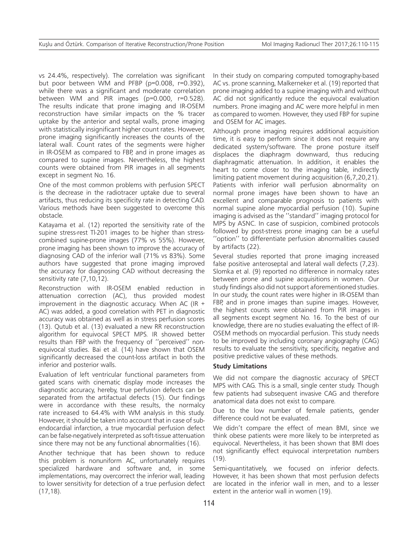vs 24.4%, respectively). The correlation was significant but poor between WM and PFBP (p=0.008, r=0.392), while there was a significant and moderate correlation between WM and PIR images (p=0.000, r=0.528). The results indicate that prone imaging and IR-OSEM reconstruction have similar impacts on the % tracer uptake by the anterior and septal walls, prone imaging with statistically insignificant higher count rates. However, prone imaging significantly increases the counts of the lateral wall. Count rates of the segments were higher in IR-OSEM as compared to FBP, and in prone images as compared to supine images. Nevertheless, the highest counts were obtained from PIR images in all segments except in segment No. 16.

One of the most common problems with perfusion SPECT is the decrease in the radiotracer uptake due to several artifacts, thus reducing its specificity rate in detecting CAD. Various methods have been suggested to overcome this obstacle.

Katayama et al. (12) reported the sensitivity rate of the supine stress-rest Tl-201 images to be higher than stresscombined supine-prone images (77% vs 55%). However, prone imaging has been shown to improve the accuracy of diagnosing CAD of the inferior wall (71% vs 83%). Some authors have suggested that prone imaging improved the accuracy for diagnosing CAD without decreasing the sensitivity rate (7,10,12).

Reconstruction with IR-OSEM enabled reduction in attenuation correction (AC), thus provided modest improvement in the diagnostic accuracy. When AC (IR  $+$ AC) was added, a good correlation with PET in diagnostic accuracy was obtained as well as in stress perfusion scores (13). Qutub et al. (13) evaluated a new RR reconstruction algorithm for equivocal SPECT MPS. IR showed better results than FBP with the frequency of ''perceived'' nonequivocal studies. Bai et al. (14) have shown that OSEM significantly decreased the count-loss artifact in both the inferior and posterior walls.

Evaluation of left ventricular functional parameters from gated scans with cinematic display mode increases the diagnostic accuracy, hereby, true perfusion defects can be separated from the artifactual defects (15). Our findings were in accordance with these results, the normalcy rate increased to 64.4% with WM analysis in this study. However, it should be taken into account that in case of subendocardial infarction, a true myocardial perfusion defect can be false-negatively interpreted as soft-tissue attenuation since there may not be any functional abnormalities (16).

Another technique that has been shown to reduce this problem is nonuniform AC, unfortunately requires specialized hardware and software and, in some implementations, may overcorrect the inferior wall, leading to lower sensitivity for detection of a true perfusion defect (17,18).

In their study on comparing computed tomography-based AC vs. prone scanning, Malkerneker et al. (19) reported that prone imaging added to a supine imaging with and without AC did not significantly reduce the equivocal evaluation numbers. Prone imaging and AC were more helpful in men as compared to women. However, they used FBP for supine and OSEM for AC images.

Although prone imaging requires additional acquisition time, it is easy to perform since it does not require any dedicated system/software. The prone posture itself displaces the diaphragm downward, thus reducing diaphragmatic attenuation. In addition, it enables the heart to come closer to the imaging table, indirectly limiting patient movement during acquisition (6,7,20,21). Patients with inferior wall perfusion abnormality on normal prone images have been shown to have an excellent and comparable prognosis to patients with normal supine alone myocardial perfusion (10). Supine imaging is advised as the ''standard'' imaging protocol for MPS by ASNC. In case of suspicion, combined protocols followed by post-stress prone imaging can be a useful ''option'' to differentiate perfusion abnormalities caused by artifacts (22).

Several studies reported that prone imaging increased false positive anteroseptal and lateral wall defects (7,23). Slomka et al. (9) reported no difference in normalcy rates between prone and supine acquisitions in women. Our study findings also did not support aforementioned studies. In our study, the count rates were higher in IR-OSEM than FBP, and in prone images than supine images. However, the highest counts were obtained from PIR images in all segments except segment No. 16. To the best of our knowledge, there are no studies evaluating the effect of IR-OSEM methods on myocardial perfusion. This study needs to be improved by including coronary angiography (CAG) results to evaluate the sensitivity, specificity, negative and positive predictive values of these methods.

## **Study Limitations**

We did not compare the diagnostic accuracy of SPECT MPS with CAG. This is a small, single center study. Though few patients had subsequent invasive CAG and therefore anatomical data does not exist to compare.

Due to the low number of female patients, gender difference could not be evaluated.

We didn't compare the effect of mean BMI, since we think obese patients were more likely to be interpreted as equivocal. Nevertheless, it has been shown that BMI does not significantly effect equivocal interpretation numbers (19).

Semi-quantitatively, we focused on inferior defects. However, it has been shown that most perfusion defects are located in the inferior wall in men, and to a lesser extent in the anterior wall in women (19).